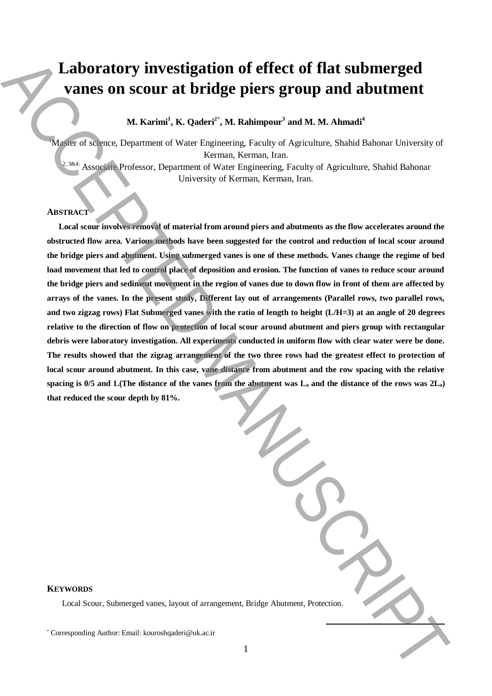# **Laboratory investigation of effect of flat submerged vanes on scour at bridge piers group and abutment**

**M. Karimi<sup>1</sup> , K. Qaderi<sup>2</sup>**\* **, M. Rahimpour<sup>3</sup> and M. M. Ahmadi<sup>4</sup>**

<sup>1</sup>Master of science, Department of Water Engineering, Faculty of Agriculture, Shahid Bahonar University of Kerman, Kerman, Iran.

<sup>2, 3&4:</sup> Associate Professor, Department of Water Engineering, Faculty of Agriculture, Shahid Bahonar University of Kerman, Kerman, Iran.

# **ABSTRACT**

**Local scour involves removal of material from around piers and abutments as the flow accelerates around the obstructed flow area. Various methods have been suggested for the control and reduction of local scour around the bridge piers and abutment. Using submerged vanes is one of these methods. Vanes change the regime of bed load movement that led to control place of deposition and erosion. The function of vanes to reduce scour around the bridge piers and sediment movement in the region of vanes due to down flow in front of them are affected by arrays of the vanes. In the present study, Different lay out of arrangements (Parallel rows, two parallel rows, and two zigzag rows) Flat Submerged vanes with the ratio of length to height (L/H=3) at an angle of 20 degrees relative to the direction of flow on protection of local scour around abutment and piers group with rectangular debris were laboratory investigation. All experiments conducted in uniform flow with clear water were be done. The results showed that the zigzag arrangement of the two three rows had the greatest effect to protection of local scour around abutment. In this case, vane distance from abutment and the row spacing with the relative spacing is 0/5 and 1.(The distance of the vanes from the abutment was L<sup>a</sup> and the distance of the rows was 2La) that reduced the scour depth by 81%. Laboratory investigation of effect of flat submerged<br>
Vancos on SCOUT at the ingeneration (Authorities of the Corresponding Authorities Authorities) of<br>
National Accepted Author: Communication (Corresponding Authorities)** 

### **KEYWORDS**

Local Scour, Submerged vanes, layout of arrangement, Bridge Abutment, Protection.

**.**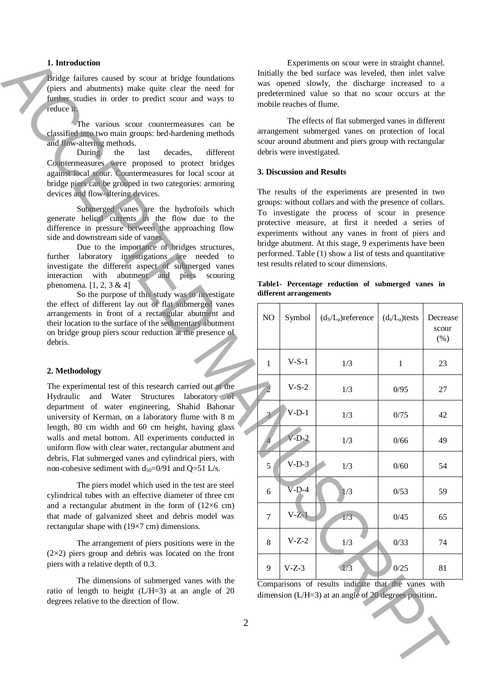# **1. Introduction**

#### **2. Methodology**

# **3. Discussion and Results**

**Table1- Percentage reduction of submerged vanes in different arrangements**

| 1. Introduction                                                                                                                                                                                                                                                                                                                                                                                                                                                                                                                                                                                                                                                                                             |                | Experiments on scour were in straight channel.                                                                                                                                                                                                                                   |                                                                                                                                                                    |                                                                                                                |                   |                           |  |  |
|-------------------------------------------------------------------------------------------------------------------------------------------------------------------------------------------------------------------------------------------------------------------------------------------------------------------------------------------------------------------------------------------------------------------------------------------------------------------------------------------------------------------------------------------------------------------------------------------------------------------------------------------------------------------------------------------------------------|----------------|----------------------------------------------------------------------------------------------------------------------------------------------------------------------------------------------------------------------------------------------------------------------------------|--------------------------------------------------------------------------------------------------------------------------------------------------------------------|----------------------------------------------------------------------------------------------------------------|-------------------|---------------------------|--|--|
| Bridge failures caused by scour at bridge foundations<br>(piers and abutments) make quite clear the need for<br>further studies in order to predict scour and ways to<br>reduce it.                                                                                                                                                                                                                                                                                                                                                                                                                                                                                                                         |                | Initially the bed surface was leveled, then inlet valve<br>was opened slowly, the discharge increased to a<br>predetermined value so that no scour occurs at the<br>mobile reaches of flume.                                                                                     |                                                                                                                                                                    |                                                                                                                |                   |                           |  |  |
| The various scour countermeasures can be<br>classified into two main groups: bed-hardening methods<br>and flow-altering methods.<br>different<br>During<br>the<br>last<br>decades,                                                                                                                                                                                                                                                                                                                                                                                                                                                                                                                          |                | The effects of flat submerged vanes in different<br>arrangement submerged vanes on protection of local<br>scour around abutment and piers group with rectangular<br>debris were investigated.                                                                                    |                                                                                                                                                                    |                                                                                                                |                   |                           |  |  |
| Countermeasures were proposed to protect bridges<br>against local scour. Countermeasures for local scour at<br>bridge piers can be grouped in two categories: armoring                                                                                                                                                                                                                                                                                                                                                                                                                                                                                                                                      |                | 3. Discussion and Results                                                                                                                                                                                                                                                        |                                                                                                                                                                    |                                                                                                                |                   |                           |  |  |
| devices and flow-altering devices.<br>Submerged vanes are the hydrofoils which<br>generate helical currents in the flow due to the<br>difference in pressure between the approaching flow<br>side and downstream side of vanes.                                                                                                                                                                                                                                                                                                                                                                                                                                                                             |                | The results of the experiments are presented in two<br>groups: without collars and with the presence of collars.<br>To investigate the process of scour in presence<br>protective measure, at first it needed a series of<br>experiments without any vanes in front of piers and |                                                                                                                                                                    |                                                                                                                |                   |                           |  |  |
| Due to the importance of bridges structures,<br>further laboratory investigations are needed to<br>investigate the different aspect of submerged vanes<br>abutment and piers<br>interaction<br>with<br>scouring<br>phenomena. $[1, 2, 3 \& 4]$<br>So the purpose of this study was to investigate                                                                                                                                                                                                                                                                                                                                                                                                           |                |                                                                                                                                                                                                                                                                                  | bridge abutment. At this stage, 9 experiments have been<br>performed. Table (1) show a list of tests and quantitative<br>test results related to scour dimensions. |                                                                                                                |                   |                           |  |  |
|                                                                                                                                                                                                                                                                                                                                                                                                                                                                                                                                                                                                                                                                                                             |                |                                                                                                                                                                                                                                                                                  | Table1- Percentage reduction of submerged vanes in<br>different arrangements                                                                                       |                                                                                                                |                   |                           |  |  |
| the effect of different lay out of flat submerged vanes<br>arrangements in front of a rectangular abutment and<br>their location to the surface of the sedimentary abutment<br>on bridge group piers scour reduction at the presence of<br>debris.                                                                                                                                                                                                                                                                                                                                                                                                                                                          |                | NO.                                                                                                                                                                                                                                                                              | Symbol                                                                                                                                                             | $(d_S/L_a)$ reference                                                                                          | $(d_s/L_a)$ tests | Decrease<br>scour<br>(% ) |  |  |
|                                                                                                                                                                                                                                                                                                                                                                                                                                                                                                                                                                                                                                                                                                             |                | 1                                                                                                                                                                                                                                                                                | $V-S-1$                                                                                                                                                            | 1/3                                                                                                            | $\mathbf{1}$      | 23                        |  |  |
| 2. Methodology                                                                                                                                                                                                                                                                                                                                                                                                                                                                                                                                                                                                                                                                                              |                |                                                                                                                                                                                                                                                                                  |                                                                                                                                                                    |                                                                                                                |                   |                           |  |  |
| The experimental test of this research carried out at the<br>Hydraulic and Water Structures laboratory of                                                                                                                                                                                                                                                                                                                                                                                                                                                                                                                                                                                                   |                |                                                                                                                                                                                                                                                                                  | $V-S-2$                                                                                                                                                            | 1/3                                                                                                            | 0/95              | 27                        |  |  |
| department of water engineering, Shahid Bahonar<br>university of Kerman, on a laboratory flume with 8 m<br>length, 80 cm width and 60 cm height, having glass<br>walls and metal bottom. All experiments conducted in<br>uniform flow with clear water, rectangular abutment and<br>debris, Flat submerged vanes and cylindrical piers, with<br>non-cohesive sediment with $d_{50} = 0/91$ and Q=51 L/s.<br>The piers model which used in the test are steel<br>cylindrical tubes with an effective diameter of three cm<br>and a rectangular abutment in the form of $(12\times6$ cm)<br>that made of galvanized sheet and debris model was<br>rectangular shape with $(19\times7 \text{ cm})$ dimensions. |                |                                                                                                                                                                                                                                                                                  | $N-D-1$                                                                                                                                                            | 1/3                                                                                                            | 0/75              | 42                        |  |  |
|                                                                                                                                                                                                                                                                                                                                                                                                                                                                                                                                                                                                                                                                                                             |                |                                                                                                                                                                                                                                                                                  | $V-D-2$                                                                                                                                                            | 1/3                                                                                                            | 0/66              | 49                        |  |  |
|                                                                                                                                                                                                                                                                                                                                                                                                                                                                                                                                                                                                                                                                                                             |                | 5                                                                                                                                                                                                                                                                                | $V-D-3$                                                                                                                                                            | 1/3                                                                                                            | 0/60              | 54                        |  |  |
|                                                                                                                                                                                                                                                                                                                                                                                                                                                                                                                                                                                                                                                                                                             |                | 6                                                                                                                                                                                                                                                                                | $V-D-4$                                                                                                                                                            | 1/3                                                                                                            | 0/53              | 59                        |  |  |
|                                                                                                                                                                                                                                                                                                                                                                                                                                                                                                                                                                                                                                                                                                             |                | 7                                                                                                                                                                                                                                                                                | $V-Z-1$                                                                                                                                                            | 1/3                                                                                                            | 0/45              | 65                        |  |  |
| The arrangement of piers positions were in the<br>$(2\times2)$ piers group and debris was located on the front<br>piers with a relative depth of 0.3.                                                                                                                                                                                                                                                                                                                                                                                                                                                                                                                                                       |                | 8                                                                                                                                                                                                                                                                                | $V-Z-2$                                                                                                                                                            | 1/3                                                                                                            | 0/33              | 74                        |  |  |
|                                                                                                                                                                                                                                                                                                                                                                                                                                                                                                                                                                                                                                                                                                             |                | 9                                                                                                                                                                                                                                                                                | $V-Z-3$                                                                                                                                                            | 1/3                                                                                                            | 0/25              | 81                        |  |  |
| The dimensions of submerged vanes with the<br>ratio of length to height $(L/H=3)$ at an angle of 20<br>degrees relative to the direction of flow.                                                                                                                                                                                                                                                                                                                                                                                                                                                                                                                                                           |                |                                                                                                                                                                                                                                                                                  |                                                                                                                                                                    | Comparisons of results indicate that the vanes with<br>dimension $(L/H=3)$ at an angle of 20 degrees position. |                   |                           |  |  |
|                                                                                                                                                                                                                                                                                                                                                                                                                                                                                                                                                                                                                                                                                                             | $\overline{2}$ |                                                                                                                                                                                                                                                                                  |                                                                                                                                                                    |                                                                                                                |                   |                           |  |  |
|                                                                                                                                                                                                                                                                                                                                                                                                                                                                                                                                                                                                                                                                                                             |                |                                                                                                                                                                                                                                                                                  |                                                                                                                                                                    |                                                                                                                |                   |                           |  |  |